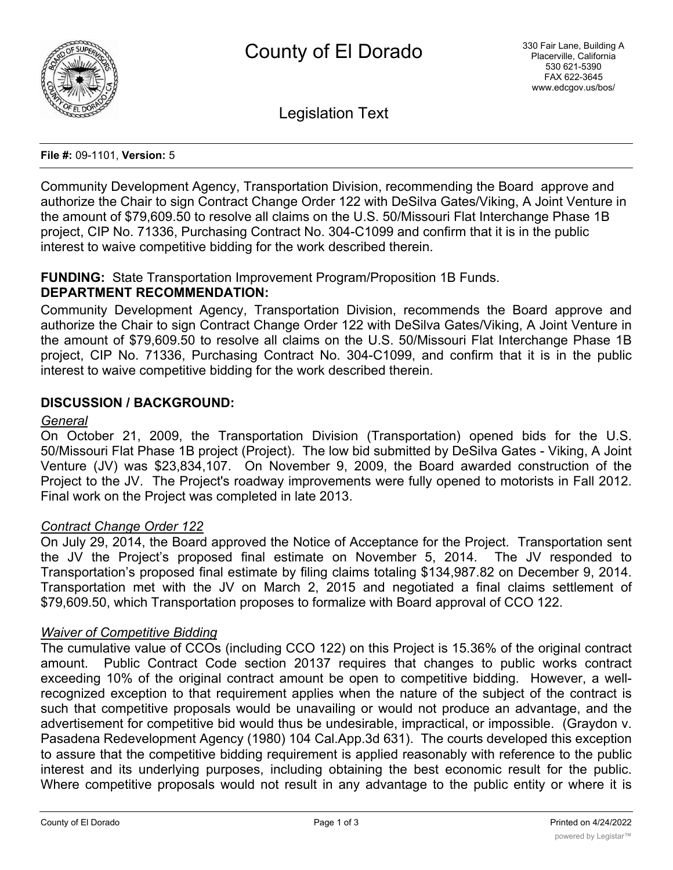

Legislation Text

#### **File #:** 09-1101, **Version:** 5

Community Development Agency, Transportation Division, recommending the Board approve and authorize the Chair to sign Contract Change Order 122 with DeSilva Gates/Viking, A Joint Venture in the amount of \$79,609.50 to resolve all claims on the U.S. 50/Missouri Flat Interchange Phase 1B project, CIP No. 71336, Purchasing Contract No. 304-C1099 and confirm that it is in the public interest to waive competitive bidding for the work described therein.

# **FUNDING:** State Transportation Improvement Program/Proposition 1B Funds.

## **DEPARTMENT RECOMMENDATION:**

Community Development Agency, Transportation Division, recommends the Board approve and authorize the Chair to sign Contract Change Order 122 with DeSilva Gates/Viking, A Joint Venture in the amount of \$79,609.50 to resolve all claims on the U.S. 50/Missouri Flat Interchange Phase 1B project, CIP No. 71336, Purchasing Contract No. 304-C1099, and confirm that it is in the public interest to waive competitive bidding for the work described therein.

#### **DISCUSSION / BACKGROUND:**

#### *General*

On October 21, 2009, the Transportation Division (Transportation) opened bids for the U.S. 50/Missouri Flat Phase 1B project (Project). The low bid submitted by DeSilva Gates - Viking, A Joint Venture (JV) was \$23,834,107. On November 9, 2009, the Board awarded construction of the Project to the JV. The Project's roadway improvements were fully opened to motorists in Fall 2012. Final work on the Project was completed in late 2013.

#### *Contract Change Order 122*

On July 29, 2014, the Board approved the Notice of Acceptance for the Project. Transportation sent the JV the Project's proposed final estimate on November 5, 2014. The JV responded to Transportation's proposed final estimate by filing claims totaling \$134,987.82 on December 9, 2014. Transportation met with the JV on March 2, 2015 and negotiated a final claims settlement of \$79,609.50, which Transportation proposes to formalize with Board approval of CCO 122.

#### *Waiver of Competitive Bidding*

The cumulative value of CCOs (including CCO 122) on this Project is 15.36% of the original contract amount. Public Contract Code section 20137 requires that changes to public works contract exceeding 10% of the original contract amount be open to competitive bidding. However, a wellrecognized exception to that requirement applies when the nature of the subject of the contract is such that competitive proposals would be unavailing or would not produce an advantage, and the advertisement for competitive bid would thus be undesirable, impractical, or impossible. (Graydon v. Pasadena Redevelopment Agency (1980) 104 Cal.App.3d 631). The courts developed this exception to assure that the competitive bidding requirement is applied reasonably with reference to the public interest and its underlying purposes, including obtaining the best economic result for the public. Where competitive proposals would not result in any advantage to the public entity or where it is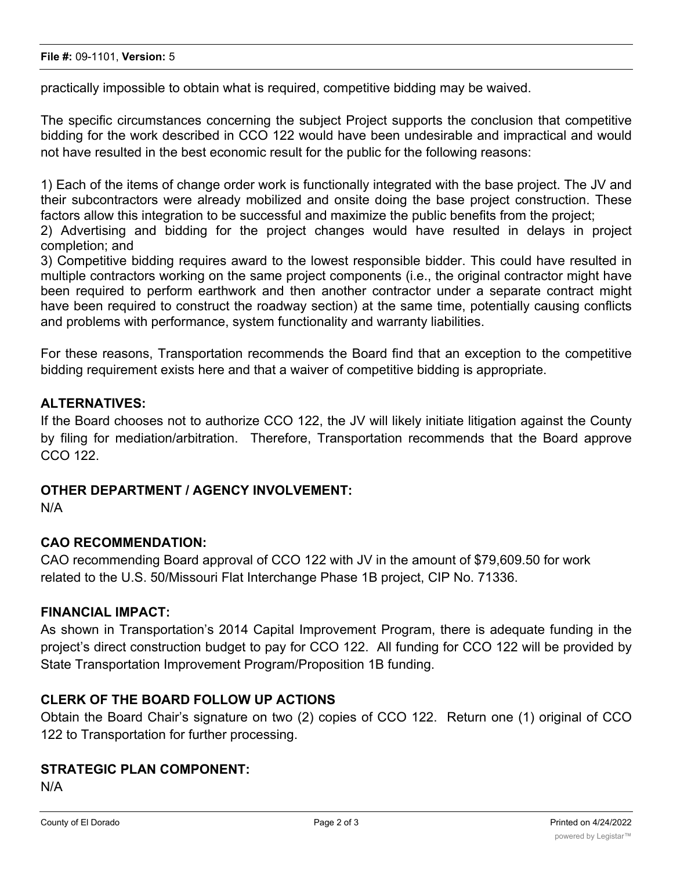practically impossible to obtain what is required, competitive bidding may be waived.

The specific circumstances concerning the subject Project supports the conclusion that competitive bidding for the work described in CCO 122 would have been undesirable and impractical and would not have resulted in the best economic result for the public for the following reasons:

1) Each of the items of change order work is functionally integrated with the base project. The JV and their subcontractors were already mobilized and onsite doing the base project construction. These factors allow this integration to be successful and maximize the public benefits from the project;

2) Advertising and bidding for the project changes would have resulted in delays in project completion; and

3) Competitive bidding requires award to the lowest responsible bidder. This could have resulted in multiple contractors working on the same project components (i.e., the original contractor might have been required to perform earthwork and then another contractor under a separate contract might have been required to construct the roadway section) at the same time, potentially causing conflicts and problems with performance, system functionality and warranty liabilities.

For these reasons, Transportation recommends the Board find that an exception to the competitive bidding requirement exists here and that a waiver of competitive bidding is appropriate.

## **ALTERNATIVES:**

If the Board chooses not to authorize CCO 122, the JV will likely initiate litigation against the County by filing for mediation/arbitration. Therefore, Transportation recommends that the Board approve CCO 122.

## **OTHER DEPARTMENT / AGENCY INVOLVEMENT:**

N/A

## **CAO RECOMMENDATION:**

CAO recommending Board approval of CCO 122 with JV in the amount of \$79,609.50 for work related to the U.S. 50/Missouri Flat Interchange Phase 1B project, CIP No. 71336.

## **FINANCIAL IMPACT:**

As shown in Transportation's 2014 Capital Improvement Program, there is adequate funding in the project's direct construction budget to pay for CCO 122. All funding for CCO 122 will be provided by State Transportation Improvement Program/Proposition 1B funding.

## **CLERK OF THE BOARD FOLLOW UP ACTIONS**

Obtain the Board Chair's signature on two (2) copies of CCO 122. Return one (1) original of CCO 122 to Transportation for further processing.

# **STRATEGIC PLAN COMPONENT:**

N/A